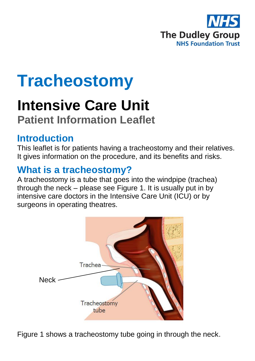

# **Tracheostomy**

# **Intensive Care Unit**

# **Patient Information Leaflet**

## **Introduction**

This leaflet is for patients having a tracheostomy and their relatives. It gives information on the procedure, and its benefits and risks.

# **What is a tracheostomy?**

A tracheostomy is a tube that goes into the windpipe (trachea) through the neck – please see Figure 1. It is usually put in by intensive care doctors in the Intensive Care Unit (ICU) or by surgeons in operating theatres.



Figure 1 shows a tracheostomy tube going in through the neck.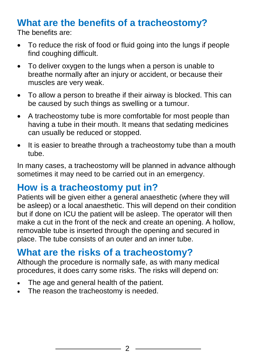# **What are the benefits of a tracheostomy?**

The benefits are:

- To reduce the risk of food or fluid going into the lungs if people find coughing difficult.
- To deliver oxygen to the lungs when a person is unable to breathe normally after an injury or accident, or because their muscles are very weak.
- To allow a person to breathe if their airway is blocked. This can be caused by such things as swelling or a tumour.
- A tracheostomy tube is more comfortable for most people than having a tube in their mouth. It means that sedating medicines can usually be reduced or stopped.
- It is easier to breathe through a tracheostomy tube than a mouth tube.

In many cases, a tracheostomy will be planned in advance although sometimes it may need to be carried out in an emergency.

## **How is a tracheostomy put in?**

Patients will be given either a general anaesthetic (where they will be asleep) or a local anaesthetic. This will depend on their condition but if done on ICU the patient will be asleep. The operator will then make a cut in the front of the neck and create an opening. A hollow, removable tube is inserted through the opening and secured in place. The tube consists of an outer and an inner tube.

# **What are the risks of a tracheostomy?**

Although the procedure is normally safe, as with many medical procedures, it does carry some risks. The risks will depend on:

- The age and general health of the patient.
- The reason the tracheostomy is needed.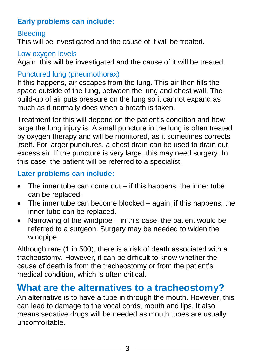## **Early problems can include:**

## **Bleeding**

This will be investigated and the cause of it will be treated.

#### Low oxygen levels

Again, this will be investigated and the cause of it will be treated.

## Punctured lung (pneumothorax)

If this happens, air escapes from the lung. This air then fills the space outside of the lung, between the lung and chest wall. The build-up of air puts pressure on the lung so it cannot expand as much as it normally does when a breath is taken.

Treatment for this will depend on the patient's condition and how large the lung injury is. A small puncture in the lung is often treated by oxygen therapy and will be monitored, as it sometimes corrects itself. For larger punctures, a chest drain can be used to drain out excess air. If the puncture is very large, this may need surgery. In this case, the patient will be referred to a specialist.

## **Later problems can include:**

- $\bullet$  The inner tube can come out if this happens, the inner tube can be replaced.
- The inner tube can become blocked again, if this happens, the inner tube can be replaced.
- Narrowing of the windpipe  $-$  in this case, the patient would be referred to a surgeon. Surgery may be needed to widen the windpipe.

Although rare (1 in 500), there is a risk of death associated with a tracheostomy. However, it can be difficult to know whether the cause of death is from the tracheostomy or from the patient's medical condition, which is often critical.

## **What are the alternatives to a tracheostomy?**

An alternative is to have a tube in through the mouth. However, this can lead to damage to the vocal cords, mouth and lips. It also means sedative drugs will be needed as mouth tubes are usually uncomfortable.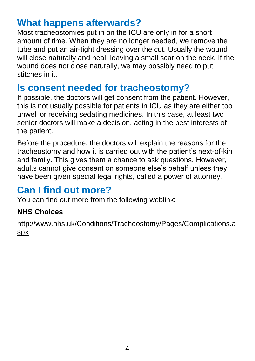## **What happens afterwards?**

Most tracheostomies put in on the ICU are only in for a short amount of time. When they are no longer needed, we remove the tube and put an air-tight dressing over the cut. Usually the wound will close naturally and heal, leaving a small scar on the neck. If the wound does not close naturally, we may possibly need to put stitches in it.

## **Is consent needed for tracheostomy?**

If possible, the doctors will get consent from the patient. However, this is not usually possible for patients in ICU as they are either too unwell or receiving sedating medicines. In this case, at least two senior doctors will make a decision, acting in the best interests of the patient.

Before the procedure, the doctors will explain the reasons for the tracheostomy and how it is carried out with the patient's next-of-kin and family. This gives them a chance to ask questions. However, adults cannot give consent on someone else's behalf unless they have been given special legal rights, called a power of attorney.

## **Can I find out more?**

You can find out more from the following weblink:

## **NHS Choices**

[http://www.nhs.uk/Conditions/Tracheostomy/Pages/Complications.a](http://www.nhs.uk/Conditions/Tracheostomy/Pages/Complications.aspx) [spx](http://www.nhs.uk/Conditions/Tracheostomy/Pages/Complications.aspx)